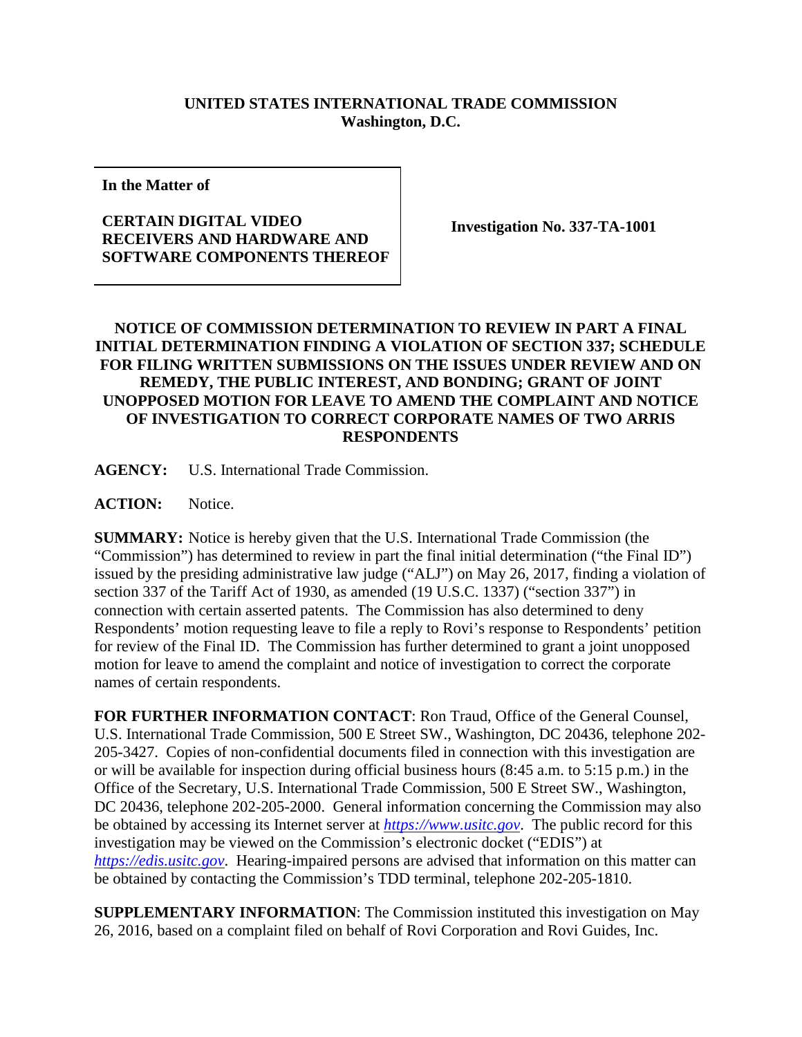## **UNITED STATES INTERNATIONAL TRADE COMMISSION Washington, D.C.**

**In the Matter of**

## **CERTAIN DIGITAL VIDEO RECEIVERS AND HARDWARE AND SOFTWARE COMPONENTS THEREOF**

**Investigation No. 337-TA-1001**

## **NOTICE OF COMMISSION DETERMINATION TO REVIEW IN PART A FINAL INITIAL DETERMINATION FINDING A VIOLATION OF SECTION 337; SCHEDULE FOR FILING WRITTEN SUBMISSIONS ON THE ISSUES UNDER REVIEW AND ON REMEDY, THE PUBLIC INTEREST, AND BONDING; GRANT OF JOINT UNOPPOSED MOTION FOR LEAVE TO AMEND THE COMPLAINT AND NOTICE OF INVESTIGATION TO CORRECT CORPORATE NAMES OF TWO ARRIS RESPONDENTS**

**AGENCY:** U.S. International Trade Commission.

ACTION: Notice.

**SUMMARY:** Notice is hereby given that the U.S. International Trade Commission (the "Commission") has determined to review in part the final initial determination ("the Final ID") issued by the presiding administrative law judge ("ALJ") on May 26, 2017, finding a violation of section 337 of the Tariff Act of 1930, as amended (19 U.S.C. 1337) ("section 337") in connection with certain asserted patents. The Commission has also determined to deny Respondents' motion requesting leave to file a reply to Rovi's response to Respondents' petition for review of the Final ID. The Commission has further determined to grant a joint unopposed motion for leave to amend the complaint and notice of investigation to correct the corporate names of certain respondents.

**FOR FURTHER INFORMATION CONTACT**: Ron Traud, Office of the General Counsel, U.S. International Trade Commission, 500 E Street SW., Washington, DC 20436, telephone 202- 205-3427. Copies of non-confidential documents filed in connection with this investigation are or will be available for inspection during official business hours (8:45 a.m. to 5:15 p.m.) in the Office of the Secretary, U.S. International Trade Commission, 500 E Street SW., Washington, DC 20436, telephone 202-205-2000. General information concerning the Commission may also be obtained by accessing its Internet server at *[https://www.usitc.gov](https://www.usitc.gov/)*. The public record for this investigation may be viewed on the Commission's electronic docket ("EDIS") at *[https://edis.usitc.gov](https://edis.usitc.gov/)*. Hearing-impaired persons are advised that information on this matter can be obtained by contacting the Commission's TDD terminal, telephone 202-205-1810.

**SUPPLEMENTARY INFORMATION**: The Commission instituted this investigation on May 26, 2016, based on a complaint filed on behalf of Rovi Corporation and Rovi Guides, Inc.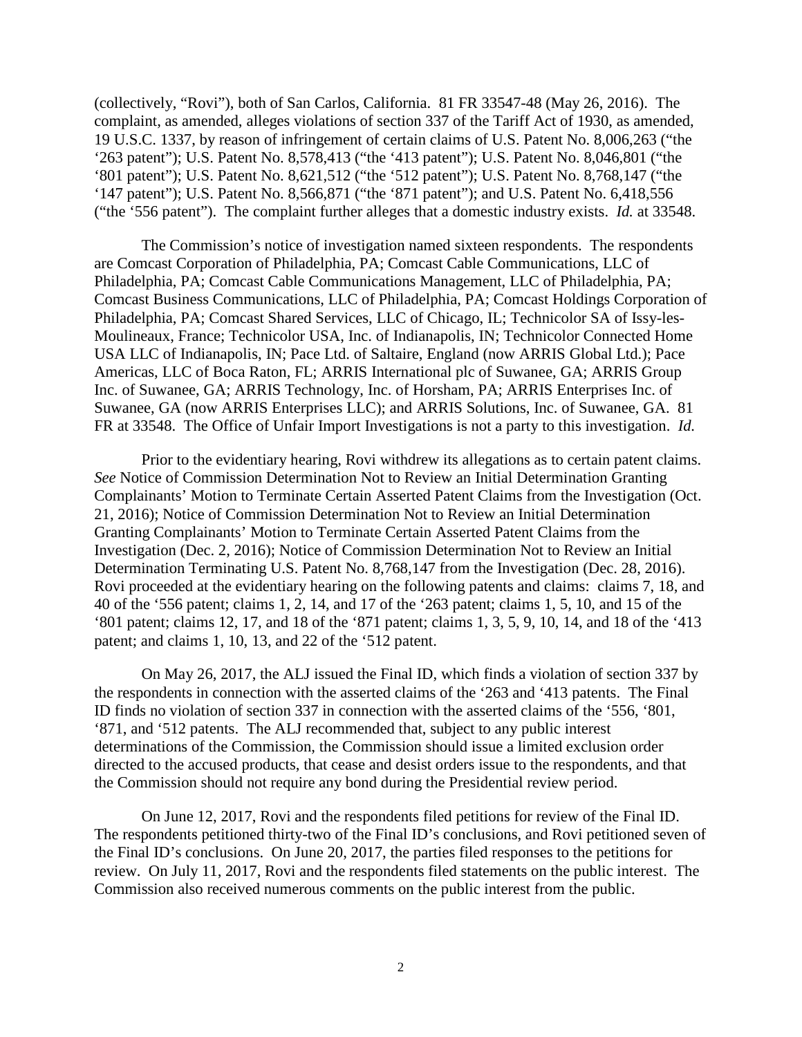(collectively, "Rovi"), both of San Carlos, California. 81 FR 33547-48 (May 26, 2016). The complaint, as amended, alleges violations of section 337 of the Tariff Act of 1930, as amended, 19 U.S.C. 1337, by reason of infringement of certain claims of U.S. Patent No. 8,006,263 ("the '263 patent"); U.S. Patent No. 8,578,413 ("the '413 patent"); U.S. Patent No. 8,046,801 ("the '801 patent"); U.S. Patent No. 8,621,512 ("the '512 patent"); U.S. Patent No. 8,768,147 ("the '147 patent"); U.S. Patent No. 8,566,871 ("the '871 patent"); and U.S. Patent No. 6,418,556 ("the '556 patent"). The complaint further alleges that a domestic industry exists. *Id.* at 33548.

The Commission's notice of investigation named sixteen respondents. The respondents are Comcast Corporation of Philadelphia, PA; Comcast Cable Communications, LLC of Philadelphia, PA; Comcast Cable Communications Management, LLC of Philadelphia, PA; Comcast Business Communications, LLC of Philadelphia, PA; Comcast Holdings Corporation of Philadelphia, PA; Comcast Shared Services, LLC of Chicago, IL; Technicolor SA of Issy-les-Moulineaux, France; Technicolor USA, Inc. of Indianapolis, IN; Technicolor Connected Home USA LLC of Indianapolis, IN; Pace Ltd. of Saltaire, England (now ARRIS Global Ltd.); Pace Americas, LLC of Boca Raton, FL; ARRIS International plc of Suwanee, GA; ARRIS Group Inc. of Suwanee, GA; ARRIS Technology, Inc. of Horsham, PA; ARRIS Enterprises Inc. of Suwanee, GA (now ARRIS Enterprises LLC); and ARRIS Solutions, Inc. of Suwanee, GA. 81 FR at 33548. The Office of Unfair Import Investigations is not a party to this investigation. *Id.*

Prior to the evidentiary hearing, Rovi withdrew its allegations as to certain patent claims. *See* Notice of Commission Determination Not to Review an Initial Determination Granting Complainants' Motion to Terminate Certain Asserted Patent Claims from the Investigation (Oct. 21, 2016); Notice of Commission Determination Not to Review an Initial Determination Granting Complainants' Motion to Terminate Certain Asserted Patent Claims from the Investigation (Dec. 2, 2016); Notice of Commission Determination Not to Review an Initial Determination Terminating U.S. Patent No. 8,768,147 from the Investigation (Dec. 28, 2016). Rovi proceeded at the evidentiary hearing on the following patents and claims: claims 7, 18, and 40 of the '556 patent; claims 1, 2, 14, and 17 of the '263 patent; claims 1, 5, 10, and 15 of the '801 patent; claims 12, 17, and 18 of the '871 patent; claims 1, 3, 5, 9, 10, 14, and 18 of the '413 patent; and claims 1, 10, 13, and 22 of the '512 patent.

On May 26, 2017, the ALJ issued the Final ID, which finds a violation of section 337 by the respondents in connection with the asserted claims of the '263 and '413 patents. The Final ID finds no violation of section 337 in connection with the asserted claims of the '556, '801, '871, and '512 patents. The ALJ recommended that, subject to any public interest determinations of the Commission, the Commission should issue a limited exclusion order directed to the accused products, that cease and desist orders issue to the respondents, and that the Commission should not require any bond during the Presidential review period.

On June 12, 2017, Rovi and the respondents filed petitions for review of the Final ID. The respondents petitioned thirty-two of the Final ID's conclusions, and Rovi petitioned seven of the Final ID's conclusions. On June 20, 2017, the parties filed responses to the petitions for review. On July 11, 2017, Rovi and the respondents filed statements on the public interest. The Commission also received numerous comments on the public interest from the public.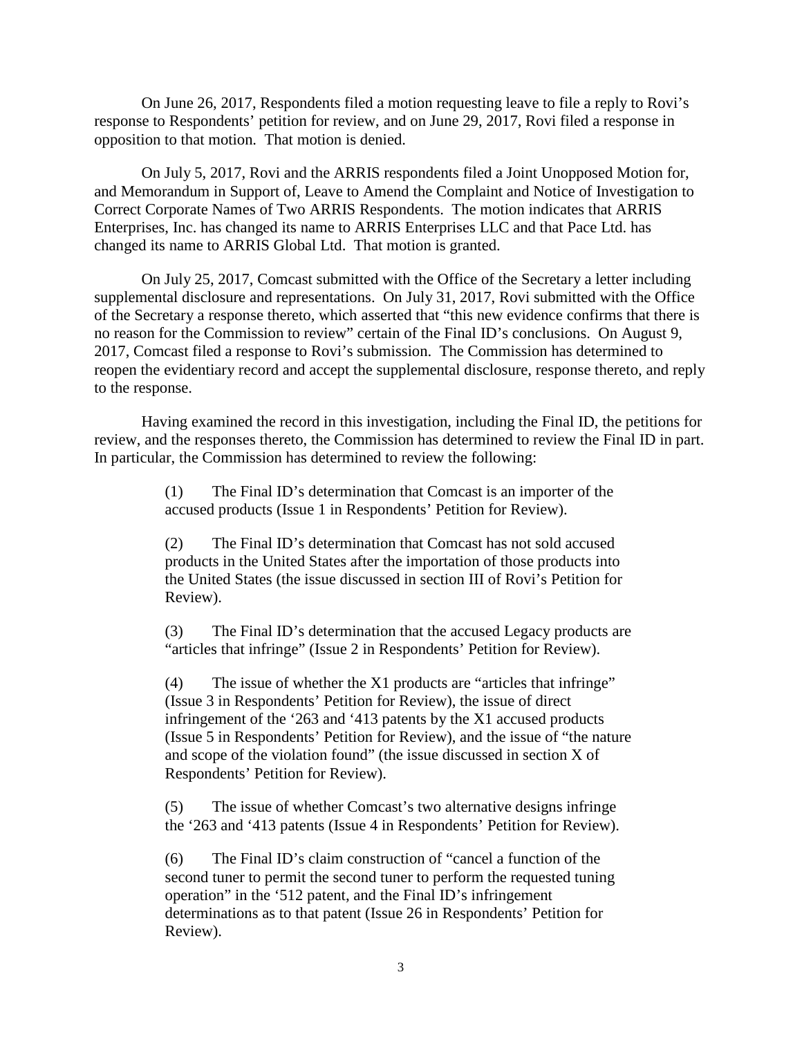On June 26, 2017, Respondents filed a motion requesting leave to file a reply to Rovi's response to Respondents' petition for review, and on June 29, 2017, Rovi filed a response in opposition to that motion. That motion is denied.

On July 5, 2017, Rovi and the ARRIS respondents filed a Joint Unopposed Motion for, and Memorandum in Support of, Leave to Amend the Complaint and Notice of Investigation to Correct Corporate Names of Two ARRIS Respondents. The motion indicates that ARRIS Enterprises, Inc. has changed its name to ARRIS Enterprises LLC and that Pace Ltd. has changed its name to ARRIS Global Ltd. That motion is granted.

On July 25, 2017, Comcast submitted with the Office of the Secretary a letter including supplemental disclosure and representations. On July 31, 2017, Rovi submitted with the Office of the Secretary a response thereto, which asserted that "this new evidence confirms that there is no reason for the Commission to review" certain of the Final ID's conclusions. On August 9, 2017, Comcast filed a response to Rovi's submission. The Commission has determined to reopen the evidentiary record and accept the supplemental disclosure, response thereto, and reply to the response.

Having examined the record in this investigation, including the Final ID, the petitions for review, and the responses thereto, the Commission has determined to review the Final ID in part. In particular, the Commission has determined to review the following:

> (1) The Final ID's determination that Comcast is an importer of the accused products (Issue 1 in Respondents' Petition for Review).

(2) The Final ID's determination that Comcast has not sold accused products in the United States after the importation of those products into the United States (the issue discussed in section III of Rovi's Petition for Review).

(3) The Final ID's determination that the accused Legacy products are "articles that infringe" (Issue 2 in Respondents' Petition for Review).

(4) The issue of whether the X1 products are "articles that infringe" (Issue 3 in Respondents' Petition for Review), the issue of direct infringement of the '263 and '413 patents by the X1 accused products (Issue 5 in Respondents' Petition for Review), and the issue of "the nature and scope of the violation found" (the issue discussed in section X of Respondents' Petition for Review).

(5) The issue of whether Comcast's two alternative designs infringe the '263 and '413 patents (Issue 4 in Respondents' Petition for Review).

(6) The Final ID's claim construction of "cancel a function of the second tuner to permit the second tuner to perform the requested tuning operation" in the '512 patent, and the Final ID's infringement determinations as to that patent (Issue 26 in Respondents' Petition for Review).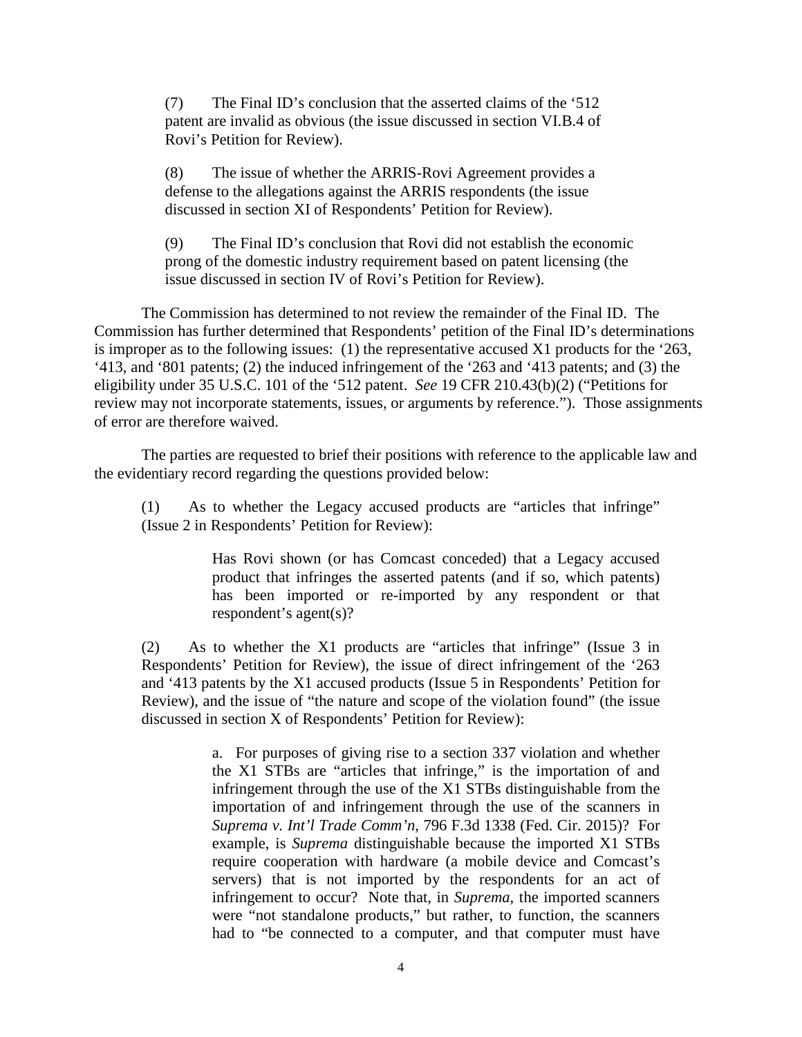(7) The Final ID's conclusion that the asserted claims of the '512 patent are invalid as obvious (the issue discussed in section VI.B.4 of Rovi's Petition for Review).

(8) The issue of whether the ARRIS-Rovi Agreement provides a defense to the allegations against the ARRIS respondents (the issue discussed in section XI of Respondents' Petition for Review).

(9) The Final ID's conclusion that Rovi did not establish the economic prong of the domestic industry requirement based on patent licensing (the issue discussed in section IV of Rovi's Petition for Review).

The Commission has determined to not review the remainder of the Final ID. The Commission has further determined that Respondents' petition of the Final ID's determinations is improper as to the following issues: (1) the representative accused X1 products for the '263, '413, and '801 patents; (2) the induced infringement of the '263 and '413 patents; and (3) the eligibility under 35 U.S.C. 101 of the '512 patent. *See* 19 CFR 210.43(b)(2) ("Petitions for review may not incorporate statements, issues, or arguments by reference."). Those assignments of error are therefore waived.

The parties are requested to brief their positions with reference to the applicable law and the evidentiary record regarding the questions provided below:

(1) As to whether the Legacy accused products are "articles that infringe" (Issue 2 in Respondents' Petition for Review):

> Has Rovi shown (or has Comcast conceded) that a Legacy accused product that infringes the asserted patents (and if so, which patents) has been imported or re-imported by any respondent or that respondent's agent(s)?

(2) As to whether the X1 products are "articles that infringe" (Issue 3 in Respondents' Petition for Review), the issue of direct infringement of the '263 and '413 patents by the X1 accused products (Issue 5 in Respondents' Petition for Review), and the issue of "the nature and scope of the violation found" (the issue discussed in section X of Respondents' Petition for Review):

> a. For purposes of giving rise to a section 337 violation and whether the X1 STBs are "articles that infringe," is the importation of and infringement through the use of the X1 STBs distinguishable from the importation of and infringement through the use of the scanners in *Suprema v. Int'l Trade Comm'n*, 796 F.3d 1338 (Fed. Cir. 2015)? For example, is *Suprema* distinguishable because the imported X1 STBs require cooperation with hardware (a mobile device and Comcast's servers) that is not imported by the respondents for an act of infringement to occur? Note that, in *Suprema*, the imported scanners were "not standalone products," but rather, to function, the scanners had to "be connected to a computer, and that computer must have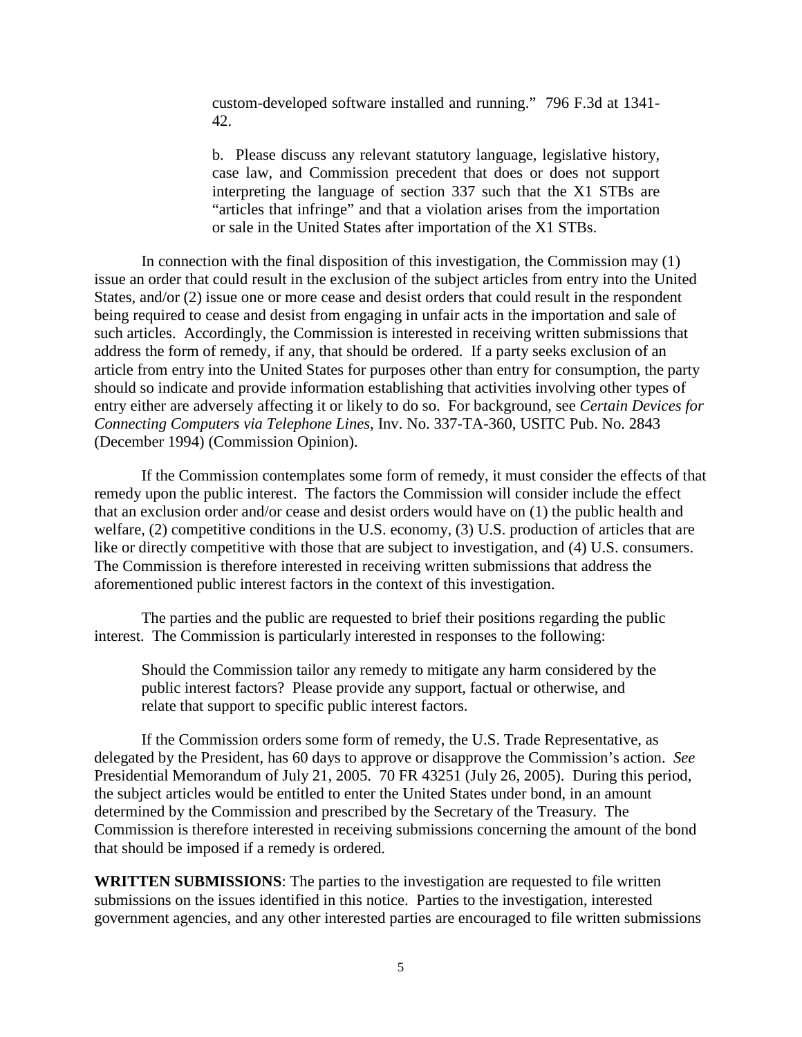custom-developed software installed and running." 796 F.3d at 1341- 42.

b. Please discuss any relevant statutory language, legislative history, case law, and Commission precedent that does or does not support interpreting the language of section 337 such that the X1 STBs are "articles that infringe" and that a violation arises from the importation or sale in the United States after importation of the X1 STBs.

In connection with the final disposition of this investigation, the Commission may (1) issue an order that could result in the exclusion of the subject articles from entry into the United States, and/or (2) issue one or more cease and desist orders that could result in the respondent being required to cease and desist from engaging in unfair acts in the importation and sale of such articles. Accordingly, the Commission is interested in receiving written submissions that address the form of remedy, if any, that should be ordered. If a party seeks exclusion of an article from entry into the United States for purposes other than entry for consumption, the party should so indicate and provide information establishing that activities involving other types of entry either are adversely affecting it or likely to do so. For background, see *Certain Devices for Connecting Computers via Telephone Lines*, Inv. No. 337-TA-360, USITC Pub. No. 2843 (December 1994) (Commission Opinion).

If the Commission contemplates some form of remedy, it must consider the effects of that remedy upon the public interest. The factors the Commission will consider include the effect that an exclusion order and/or cease and desist orders would have on (1) the public health and welfare, (2) competitive conditions in the U.S. economy, (3) U.S. production of articles that are like or directly competitive with those that are subject to investigation, and (4) U.S. consumers. The Commission is therefore interested in receiving written submissions that address the aforementioned public interest factors in the context of this investigation.

The parties and the public are requested to brief their positions regarding the public interest. The Commission is particularly interested in responses to the following:

Should the Commission tailor any remedy to mitigate any harm considered by the public interest factors? Please provide any support, factual or otherwise, and relate that support to specific public interest factors.

If the Commission orders some form of remedy, the U.S. Trade Representative, as delegated by the President, has 60 days to approve or disapprove the Commission's action. *See* Presidential Memorandum of July 21, 2005. 70 FR 43251 (July 26, 2005). During this period, the subject articles would be entitled to enter the United States under bond, in an amount determined by the Commission and prescribed by the Secretary of the Treasury. The Commission is therefore interested in receiving submissions concerning the amount of the bond that should be imposed if a remedy is ordered.

**WRITTEN SUBMISSIONS**: The parties to the investigation are requested to file written submissions on the issues identified in this notice. Parties to the investigation, interested government agencies, and any other interested parties are encouraged to file written submissions